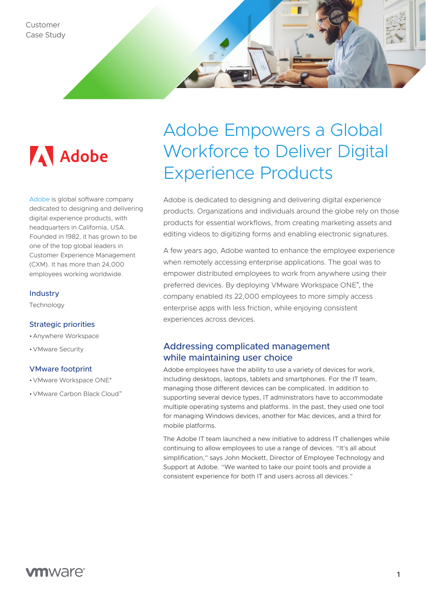

[Adobe](https://www.adobe.com/) is global software company dedicated to designing and delivering digital experience products, with headquarters in California, USA. Founded in 1982, it has grown to be one of the top global leaders in Customer Experience Management (CXM). It has more than 24,000 employees working worldwide.

#### **Industry**

Technology

### Strategic priorities

- •Anywhere Workspace
- •VMware Security

### VMware footprint

- •VMware Workspace ONE®
- •VMware Carbon Black Cloud™

# Adobe Empowers a Global Workforce to Deliver Digital Experience Products

Adobe is dedicated to designing and delivering digital experience products. Organizations and individuals around the globe rely on those products for essential workflows, from creating marketing assets and editing videos to digitizing forms and enabling electronic signatures.

A few years ago, Adobe wanted to enhance the employee experience when remotely accessing enterprise applications. The goal was to empower distributed employees to work from anywhere using their preferred devices. By deploying VMware Workspace ONE® , the company enabled its 22,000 employees to more simply access enterprise apps with less friction, while enjoying consistent experiences across devices.

# Addressing complicated management while maintaining user choice

Adobe employees have the ability to use a variety of devices for work, including desktops, laptops, tablets and smartphones. For the IT team, managing those different devices can be complicated. In addition to supporting several device types, IT administrators have to accommodate multiple operating systems and platforms. In the past, they used one tool for managing Windows devices, another for Mac devices, and a third for mobile platforms.

The Adobe IT team launched a new initiative to address IT challenges while continuing to allow employees to use a range of devices. "It's all about simplification," says John Mockett, Director of Employee Technology and Support at Adobe. "We wanted to take our point tools and provide a consistent experience for both IT and users across all devices."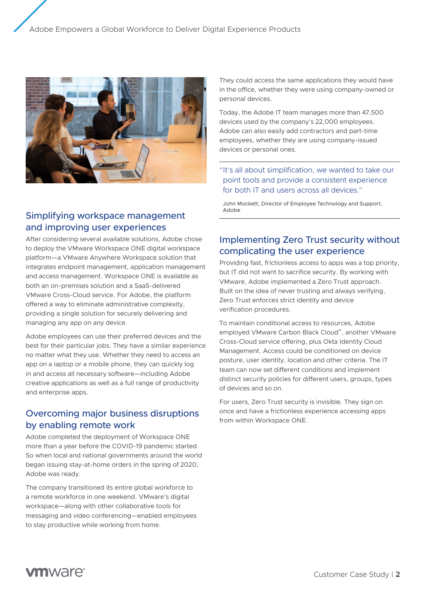

## Simplifying workspace management and improving user experiences

After considering several available solutions, Adobe chose to deploy the VMware Workspace ONE digital workspace platform—a VMware Anywhere Workspace solution that integrates endpoint management, application management and access management. Workspace ONE is available as both an on-premises solution and a SaaS-delivered VMware Cross-Cloud service. For Adobe, the platform offered a way to eliminate administrative complexity, providing a single solution for securely delivering and managing any app on any device.

Adobe employees can use their preferred devices and the best for their particular jobs. They have a similar experience no matter what they use. Whether they need to access an app on a laptop or a mobile phone, they can quickly log in and access all necessary software—including Adobe creative applications as well as a full range of productivity and enterprise apps.

# Overcoming major business disruptions by enabling remote work

Adobe completed the deployment of Workspace ONE more than a year before the COVID-19 pandemic started. So when local and national governments around the world began issuing stay-at-home orders in the spring of 2020, Adobe was ready.

The company transitioned its entire global workforce to a remote workforce in one weekend. VMware's digital workspace—along with other collaborative tools for messaging and video conferencing—enabled employees to stay productive while working from home.

They could access the same applications they would have in the office, whether they were using company-owned or personal devices.

Today, the Adobe IT team manages more than 47,500 devices used by the company's 22,000 employees. Adobe can also easily add contractors and part-time employees, whether they are using company-issued devices or personal ones.

"It's all about simplification, we wanted to take our point tools and provide a consistent experience for both IT and users across all devices."

John Mockett, Director of Employee Technology and Support, Adobe

# Implementing Zero Trust security without complicating the user experience

Providing fast, frictionless access to apps was a top priority, but IT did not want to sacrifice security. By working with VMware, Adobe implemented a Zero Trust approach. Built on the idea of never trusting and always verifying, Zero Trust enforces strict identity and device verification procedures.

To maintain conditional access to resources, Adobe employed VMware Carbon Black Cloud™, another VMware Cross-Cloud service offering, plus Okta Identity Cloud Management. Access could be conditioned on device posture, user identity, location and other criteria. The IT team can now set different conditions and implement distinct security policies for different users, groups, types of devices and so on.

For users, Zero Trust security is invisible. They sign on once and have a frictionless experience accessing apps from within Workspace ONE.